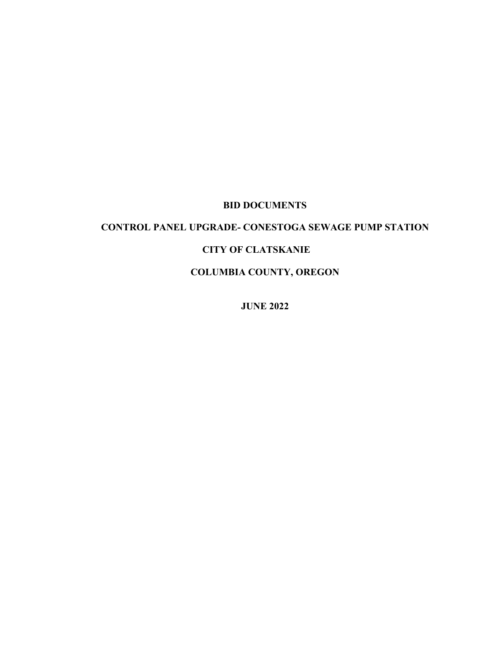## **BID DOCUMENTS**

# **CONTROL PANEL UPGRADE- CONESTOGA SEWAGE PUMP STATION**

#### **CITY OF CLATSKANIE**

**COLUMBIA COUNTY, OREGON**

**JUNE 2022**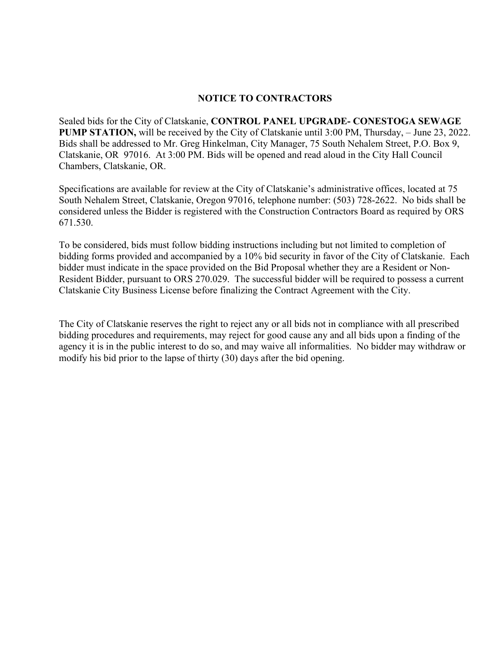#### **NOTICE TO CONTRACTORS**

Sealed bids for the City of Clatskanie, **CONTROL PANEL UPGRADE- CONESTOGA SEWAGE PUMP STATION,** will be received by the City of Clatskanie until 3:00 PM, Thursday, – June 23, 2022. Bids shall be addressed to Mr. Greg Hinkelman, City Manager, 75 South Nehalem Street, P.O. Box 9, Clatskanie, OR 97016. At 3:00 PM. Bids will be opened and read aloud in the City Hall Council Chambers, Clatskanie, OR.

Specifications are available for review at the City of Clatskanie's administrative offices, located at 75 South Nehalem Street, Clatskanie, Oregon 97016, telephone number: (503) 728-2622. No bids shall be considered unless the Bidder is registered with the Construction Contractors Board as required by ORS 671.530.

To be considered, bids must follow bidding instructions including but not limited to completion of bidding forms provided and accompanied by a 10% bid security in favor of the City of Clatskanie. Each bidder must indicate in the space provided on the Bid Proposal whether they are a Resident or Non-Resident Bidder, pursuant to ORS 270.029. The successful bidder will be required to possess a current Clatskanie City Business License before finalizing the Contract Agreement with the City.

The City of Clatskanie reserves the right to reject any or all bids not in compliance with all prescribed bidding procedures and requirements, may reject for good cause any and all bids upon a finding of the agency it is in the public interest to do so, and may waive all informalities. No bidder may withdraw or modify his bid prior to the lapse of thirty (30) days after the bid opening.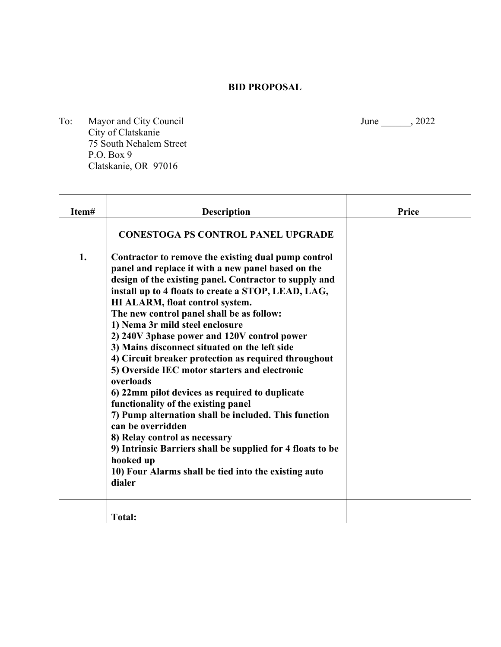### **BID PROPOSAL**

To: Mayor and City Council June 1, 2022 City of Clatskanie 75 South Nehalem Street P.O. Box 9 Clatskanie, OR 97016

F

| Item# | <b>Description</b>                                                                                                                                                                                                                                                                                                                                                                                                                                                                                                                                                                                                                                                                                                                                                                                                                                                                                                      | <b>Price</b> |
|-------|-------------------------------------------------------------------------------------------------------------------------------------------------------------------------------------------------------------------------------------------------------------------------------------------------------------------------------------------------------------------------------------------------------------------------------------------------------------------------------------------------------------------------------------------------------------------------------------------------------------------------------------------------------------------------------------------------------------------------------------------------------------------------------------------------------------------------------------------------------------------------------------------------------------------------|--------------|
|       | <b>CONESTOGA PS CONTROL PANEL UPGRADE</b>                                                                                                                                                                                                                                                                                                                                                                                                                                                                                                                                                                                                                                                                                                                                                                                                                                                                               |              |
| 1.    | Contractor to remove the existing dual pump control<br>panel and replace it with a new panel based on the<br>design of the existing panel. Contractor to supply and<br>install up to 4 floats to create a STOP, LEAD, LAG,<br>HI ALARM, float control system.<br>The new control panel shall be as follow:<br>1) Nema 3r mild steel enclosure<br>2) 240V 3phase power and 120V control power<br>3) Mains disconnect situated on the left side<br>4) Circuit breaker protection as required throughout<br>5) Overside IEC motor starters and electronic<br>overloads<br>6) 22mm pilot devices as required to duplicate<br>functionality of the existing panel<br>7) Pump alternation shall be included. This function<br>can be overridden<br>8) Relay control as necessary<br>9) Intrinsic Barriers shall be supplied for 4 floats to be<br>hooked up<br>10) Four Alarms shall be tied into the existing auto<br>dialer |              |
|       | <b>Total:</b>                                                                                                                                                                                                                                                                                                                                                                                                                                                                                                                                                                                                                                                                                                                                                                                                                                                                                                           |              |